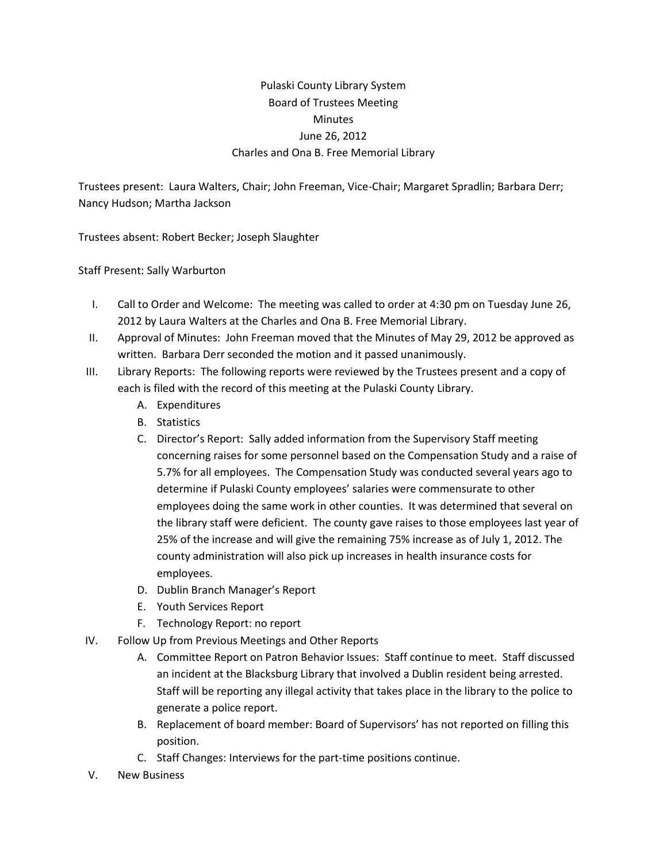## Pulaski County Library System Board of Trustees Meeting **Minutes** June 26, 2012 Charles and Ona B. Free Memorial Library

Trustees present: Laura Walters, Chair; John Freeman, Vice-Chair; Margaret Spradlin; Barbara Derr; Nancy Hudson; Martha Jackson

Trustees absent: Robert Becker; Joseph Slaughter

Staff Present: Sally Warburton

- I. Call to Order and Welcome: The meeting was called to order at 4:30 pm on Tuesday June 26, 2012 by Laura Walters at the Charles and Ona B. Free Memorial Library.
- II. Approval of Minutes: John Freeman moved that the Minutes of May 29, 2012 be approved as written. Barbara Derr seconded the motion and it passed unanimously.
- III. Library Reports: The following reports were reviewed by the Trustees present and a copy of each is filed with the record of this meeting at the Pulaski County Library.
	- A. Expenditures
	- B. Statistics
	- C. Director's Report: Sally added information from the Supervisory Staff meeting concerning raises for some personnel based on the Compensation Study and a raise of 5.7% for all employees. The Compensation Study was conducted several years ago to determine if Pulaski County employees' salaries were commensurate to other employees doing the same work in other counties. It was determined that several on the library staff were deficient. The county gave raises to those employees last year of 25% of the increase and will give the remaining 75% increase as of July 1, 2012. The county administration will also pick up increases in health insurance costs for employees.
	- D. Dublin Branch Manager's Report
	- E. Youth Services Report
	- F. Technology Report: no report
- IV. Follow Up from Previous Meetings and Other Reports
	- A. Committee Report on Patron Behavior Issues: Staff continue to meet. Staff discussed an incident at the Blacksburg Library that involved a Dublin resident being arrested. Staff will be reporting any illegal activity that takes place in the library to the police to generate a police report.
	- B. Replacement of board member: Board of Supervisors' has not reported on filling this position.
	- C. Staff Changes: Interviews for the part-time positions continue.
- V. New Business